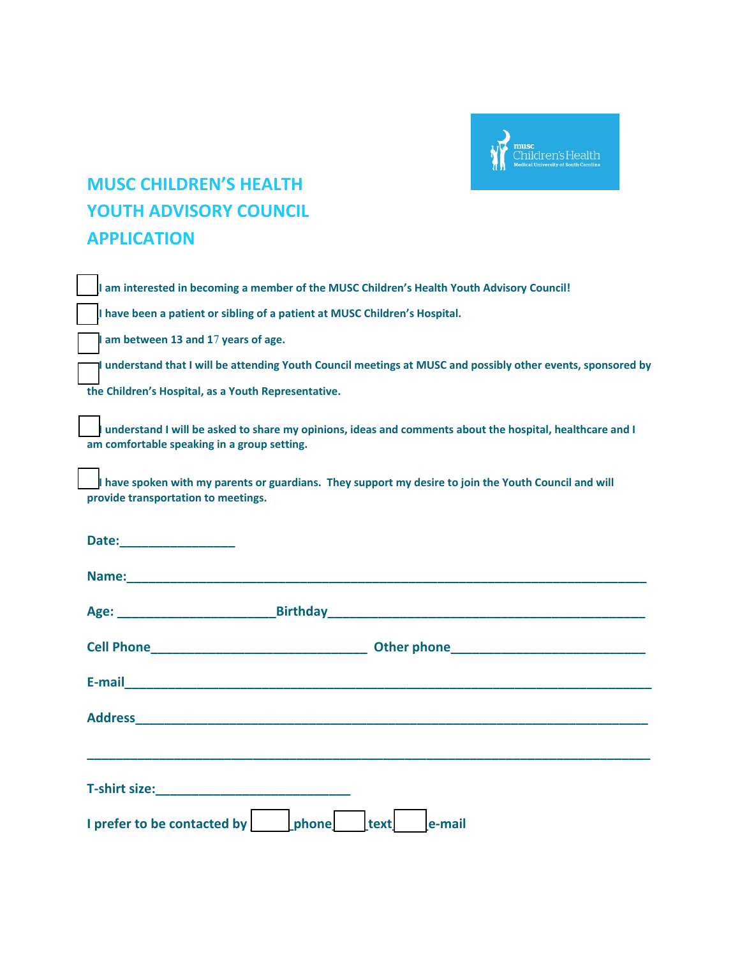

## **MUSC CHILDREN'S HEALTH YOUTH ADVISORY COUNCIL APPLICATION**

|                                                                                                                                                                                                                                      | I am interested in becoming a member of the MUSC Children's Health Youth Advisory Council!                                                                                                                                     |  |  |  |  |
|--------------------------------------------------------------------------------------------------------------------------------------------------------------------------------------------------------------------------------------|--------------------------------------------------------------------------------------------------------------------------------------------------------------------------------------------------------------------------------|--|--|--|--|
|                                                                                                                                                                                                                                      | I have been a patient or sibling of a patient at MUSC Children's Hospital.                                                                                                                                                     |  |  |  |  |
|                                                                                                                                                                                                                                      | I am between 13 and 17 years of age.                                                                                                                                                                                           |  |  |  |  |
|                                                                                                                                                                                                                                      | I understand that I will be attending Youth Council meetings at MUSC and possibly other events, sponsored by                                                                                                                   |  |  |  |  |
| the Children's Hospital, as a Youth Representative.                                                                                                                                                                                  |                                                                                                                                                                                                                                |  |  |  |  |
| understand I will be asked to share my opinions, ideas and comments about the hospital, healthcare and I<br>am comfortable speaking in a group setting.                                                                              |                                                                                                                                                                                                                                |  |  |  |  |
| I have spoken with my parents or guardians. They support my desire to join the Youth Council and will<br>provide transportation to meetings.                                                                                         |                                                                                                                                                                                                                                |  |  |  |  |
| Date: <u>Date: Expression and the set of the set of the set of the set of the set of the set of the set of the set of the set of the set of the set of the set of the set of the set of the set of the set of the set of the set</u> |                                                                                                                                                                                                                                |  |  |  |  |
|                                                                                                                                                                                                                                      |                                                                                                                                                                                                                                |  |  |  |  |
|                                                                                                                                                                                                                                      | Age: Birthday Birthday Phillips and the Community of the Community of the Community of the Community of the Community of the Community of the Community of the Community of the Community of the Community of the Community of |  |  |  |  |
|                                                                                                                                                                                                                                      |                                                                                                                                                                                                                                |  |  |  |  |
|                                                                                                                                                                                                                                      | E-mail <b>E-mail E-mail E-mail E-mail E-mail E-mail E-mail E-mail E-mail E-mail E-mail E-mail E-mail E-mail E-mail E-mail E-mail E-mail E-mail E-mail E-mail E-mail E-mail E-mail</b>                                          |  |  |  |  |
|                                                                                                                                                                                                                                      |                                                                                                                                                                                                                                |  |  |  |  |
|                                                                                                                                                                                                                                      |                                                                                                                                                                                                                                |  |  |  |  |
|                                                                                                                                                                                                                                      |                                                                                                                                                                                                                                |  |  |  |  |
|                                                                                                                                                                                                                                      | I prefer to be contacted by<br>phone<br>text<br>e-mail                                                                                                                                                                         |  |  |  |  |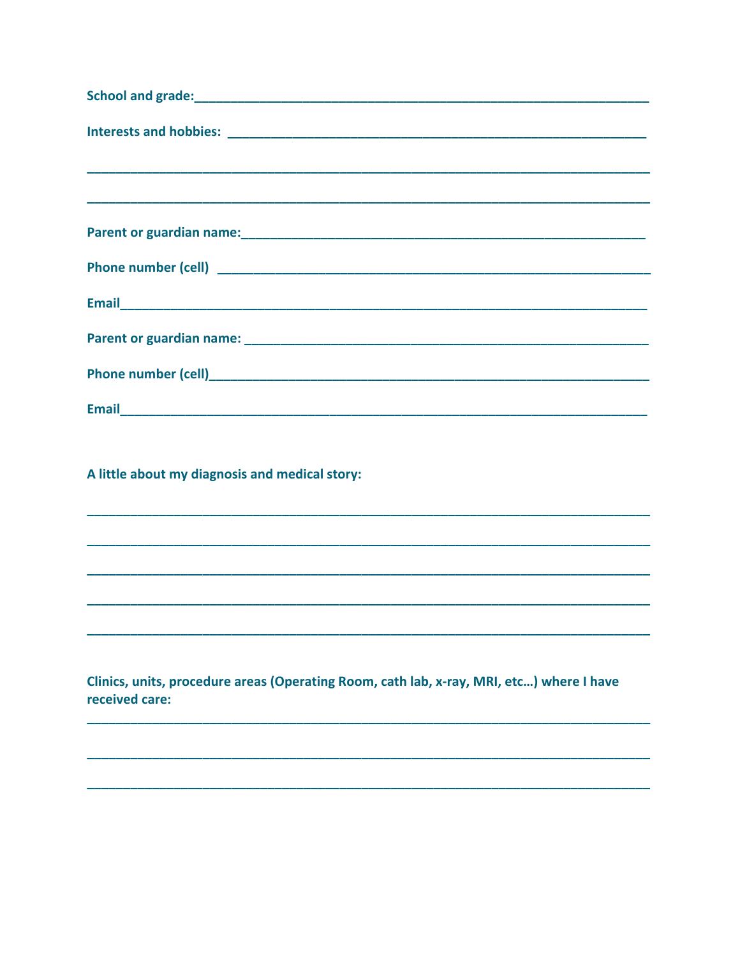| <b>Email</b> |  |  |
|--------------|--|--|

A little about my diagnosis and medical story:

Clinics, units, procedure areas (Operating Room, cath lab, x-ray, MRI, etc...) where I have received care: